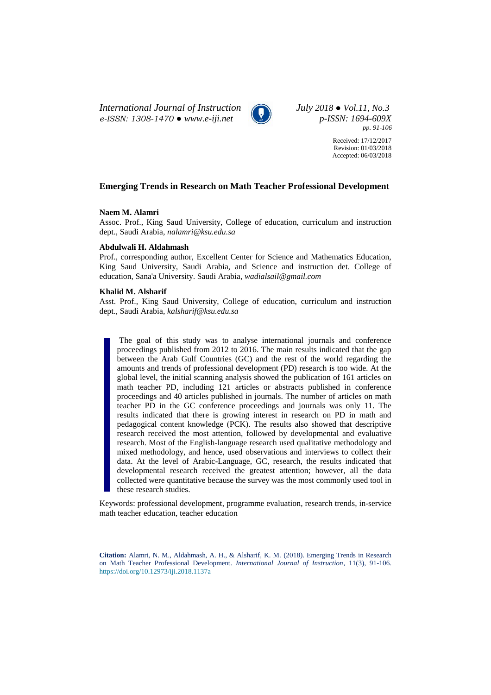*International Journal of Instruction July 2018 ● Vol.11, No.3 e-ISSN: 1308-1470 ● [www.e-iji.net](http://www.e-iji.net/) p-ISSN: 1694-609X*



*pp. 91-106*

Received: 17/12/2017 Revision: 01/03/2018 Accepted: 06/03/2018

# **Emerging Trends in Research on Math Teacher Professional Development**

## **Naem M. Alamri**

Assoc. Prof., King Saud University, College of education, curriculum and instruction dept., Saudi Arabia, *nalamri@ksu.edu.sa*

## **Abdulwali H. Aldahmash**

Prof., corresponding author, Excellent Center for Science and Mathematics Education, King Saud University, Saudi Arabia, and Science and instruction det. College of education, Sana'a University. Saudi Arabia, *wadialsail@gmail.com*

## **Khalid M. Alsharif**

Asst. Prof., King Saud University, College of education, curriculum and instruction dept., Saudi Arabia, *kalsharif@ksu.edu.sa*

The goal of this study was to analyse international journals and conference proceedings published from 2012 to 2016. The main results indicated that the gap between the Arab Gulf Countries (GC) and the rest of the world regarding the amounts and trends of professional development (PD) research is too wide. At the global level, the initial scanning analysis showed the publication of 161 articles on math teacher PD, including 121 articles or abstracts published in conference proceedings and 40 articles published in journals. The number of articles on math teacher PD in the GC conference proceedings and journals was only 11. The results indicated that there is growing interest in research on PD in math and pedagogical content knowledge (PCK). The results also showed that descriptive research received the most attention, followed by developmental and evaluative research. Most of the English-language research used qualitative methodology and mixed methodology, and hence, used observations and interviews to collect their data. At the level of Arabic-Language, GC, research, the results indicated that developmental research received the greatest attention; however, all the data collected were quantitative because the survey was the most commonly used tool in these research studies.

Keywords: professional development, programme evaluation, research trends, in-service math teacher education, teacher education

**Citation:** Alamri, N. M., Aldahmash, A. H., & Alsharif, K. M. (2018). Emerging Trends in Research on Math Teacher Professional Development. *International Journal of Instruction*, 11(3), 91-106. <https://doi.org/10.12973/iji.2018.1137a>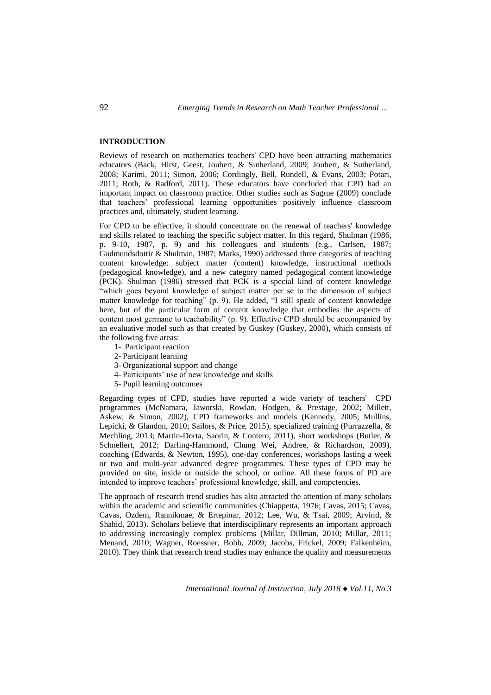# **INTRODUCTION**

Reviews of research on mathematics teachers' CPD have been attracting mathematics educators (Back, Hirst, Geest, Joubert, & Sutherland, 2009; Joubert, & Sutherland, 2008; Karimi, 2011; Simon, 2006; Cordingly, Bell, Rundell, & Evans, 2003; Potari, 2011; Roth, & Radford, 2011). These educators have concluded that CPD had an important impact on classroom practice. Other studies such as Sugrue (2009) conclude that teachers' professional learning opportunities positively influence classroom practices and, ultimately, student learning.

For CPD to be effective, it should concentrate on the renewal of teachers' knowledge and skills related to teaching the specific subject matter. In this regard, Shulman (1986, p. 9-10, 1987, p. 9) and his colleagues and students (e.g., Carlsen, 1987; Gudmundsdottir & Shulman, 1987; Marks, 1990) addressed three categories of teaching content knowledge: subject matter (content) knowledge, instructional methods (pedagogical knowledge), and a new category named pedagogical content knowledge (PCK). Shulman (1986) stressed that PCK is a special kind of content knowledge "which goes beyond knowledge of subject matter per se to the dimension of subject matter knowledge for teaching" (p. 9). He added, "I still speak of content knowledge here, but of the particular form of content knowledge that embodies the aspects of content most germane to teachability" (p. 9). Effective CPD should be accompanied by an evaluative model such as that created by Guskey (Guskey, 2000), which consists of the following five areas:

- 1- Participant reaction
- 2- Participant learning
- 3- Organizational support and change
- 4- Participants' use of new knowledge and skills
- 5- Pupil learning outcomes

Regarding types of CPD, studies have reported a wide variety of teachers' CPD programmes (McNamara, Jaworski, Rowlan, Hodgen, & Prestage, 2002; Millett, Askew, & Simon, 2002), CPD frameworks and models (Kennedy, 2005; Mullins, Lepicki, & Glandon, 2010; Sailors, & Price, 2015), specialized training (Purrazzella, & Mechling, 2013; Martin-Dorta, Saorin, & Contero, 2011), short workshops (Butler, & Schnellert, 2012; Darling-Hammond, Chung Wei, Andree, & Richardson, 2009), coaching (Edwards, & Newton, 1995), one-day conferences, workshops lasting a week or two and multi-year advanced degree programmes. These types of CPD may be provided on site, inside or outside the school, or online. All these forms of PD are intended to improve teachers' professional knowledge, skill, and competencies.

The approach of research trend studies has also attracted the attention of many scholars within the academic and scientific communities (Chiappetta, 1976; Cavas, 2015; Cavas, Cavas, Ozdem, Rannikmae, & Ertepinar, 2012; Lee, Wu, & Tsai, 2009; Arvind, & Shahid, 2013). Scholars believe that interdisciplinary represents an important approach to addressing increasingly complex problems (Millar, Dillman, 2010; Millar, 2011; Menand, 2010; Wagner, Roessner, Bobb, 2009; Jacobs, Frickel, 2009; Falkenheim, 2010). They think that research trend studies may enhance the quality and measurements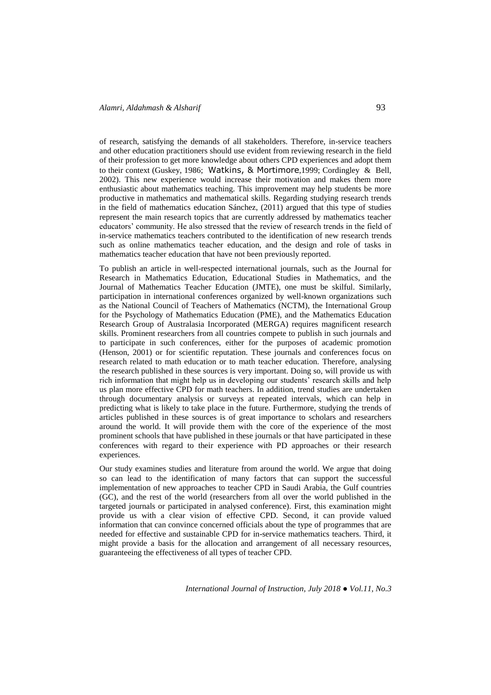of research, satisfying the demands of all stakeholders. Therefore, in-service teachers and other education practitioners should use evident from reviewing research in the field of their profession to get more knowledge about others CPD experiences and adopt them to their context (Guskey, 1986; Watkins, & Mortimore,1999; Cordingley & Bell, 2002). This new experience would increase their motivation and makes them more enthusiastic about mathematics teaching. This improvement may help students be more productive in mathematics and mathematical skills. Regarding studying research trends in the field of mathematics education Sánchez, (2011) argued that this type of studies represent the main research topics that are currently addressed by mathematics teacher educators' community. He also stressed that the review of research trends in the field of in-service mathematics teachers contributed to the identification of new research trends such as online mathematics teacher education, and the design and role of tasks in mathematics teacher education that have not been previously reported.

To publish an article in well-respected international journals, such as the Journal for Research in Mathematics Education, Educational Studies in Mathematics, and the Journal of Mathematics Teacher Education (JMTE), one must be skilful. Similarly, participation in international conferences organized by well-known organizations such as the National Council of Teachers of Mathematics (NCTM), the International Group for the Psychology of Mathematics Education (PME), and the Mathematics Education Research Group of Australasia Incorporated (MERGA) requires magnificent research skills. Prominent researchers from all countries compete to publish in such journals and to participate in such conferences, either for the purposes of academic promotion (Henson, 2001) or for scientific reputation. These journals and conferences focus on research related to math education or to math teacher education. Therefore, analysing the research published in these sources is very important. Doing so, will provide us with rich information that might help us in developing our students' research skills and help us plan more effective CPD for math teachers. In addition, trend studies are undertaken through documentary analysis or surveys at repeated intervals, which can help in predicting what is likely to take place in the future. Furthermore, studying the trends of articles published in these sources is of great importance to scholars and researchers around the world. It will provide them with the core of the experience of the most prominent schools that have published in these journals or that have participated in these conferences with regard to their experience with PD approaches or their research experiences.

Our study examines studies and literature from around the world. We argue that doing so can lead to the identification of many factors that can support the successful implementation of new approaches to teacher CPD in Saudi Arabia, the Gulf countries (GC), and the rest of the world (researchers from all over the world published in the targeted journals or participated in analysed conference). First, this examination might provide us with a clear vision of effective CPD. Second, it can provide valued information that can convince concerned officials about the type of programmes that are needed for effective and sustainable CPD for in-service mathematics teachers. Third, it might provide a basis for the allocation and arrangement of all necessary resources, guaranteeing the effectiveness of all types of teacher CPD.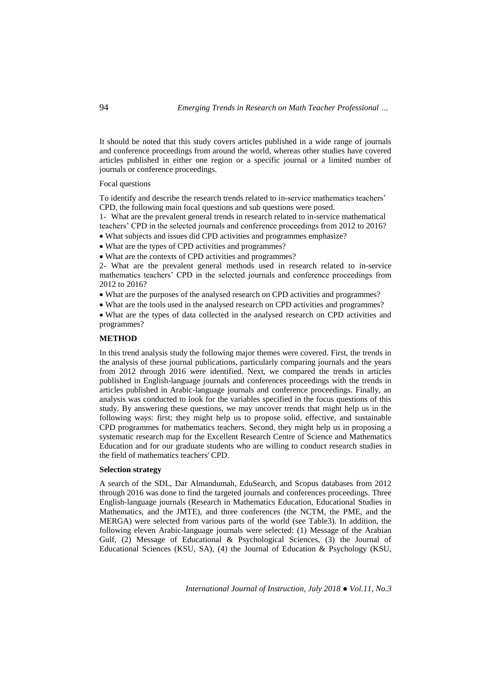It should be noted that this study covers articles published in a wide range of journals and conference proceedings from around the world, whereas other studies have covered articles published in either one region or a specific journal or a limited number of journals or conference proceedings.

### Focal questions

To identify and describe the research trends related to in-service mathematics teachers' CPD, the following main focal questions and sub questions were posed.

1- What are the prevalent general trends in research related to in-service mathematical teachers' CPD in the selected journals and conference proceedings from 2012 to 2016?

What subjects and issues did CPD activities and programmes emphasize?

What are the types of CPD activities and programmes?

What are the contexts of CPD activities and programmes?

2- What are the prevalent general methods used in research related to in-service mathematics teachers' CPD in the selected journals and conference proceedings from 2012 to 2016?

What are the purposes of the analysed research on CPD activities and programmes?

What are the tools used in the analysed research on CPD activities and programmes?

 What are the types of data collected in the analysed research on CPD activities and programmes?

# **METHOD**

In this trend analysis study the following major themes were covered. First, the trends in the analysis of these journal publications, particularly comparing journals and the years from 2012 through 2016 were identified. Next, we compared the trends in articles published in English-language journals and conferences proceedings with the trends in articles published in Arabic-language journals and conference proceedings. Finally, an analysis was conducted to look for the variables specified in the focus questions of this study. By answering these questions, we may uncover trends that might help us in the following ways: first; they might help us to propose solid, effective, and sustainable CPD programmes for mathematics teachers. Second, they might help us in proposing a systematic research map for the Excellent Research Centre of Science and Mathematics Education and for our graduate students who are willing to conduct research studies in the field of mathematics teachers' CPD.

#### **Selection strategy**

A search of the SDL, [Dar Almandumah,](https://ar-ar.facebook.com/DarAlmandumah/) [EduSearch,](https://www.google.com.sa/url?sa=t&rct=j&q=&esrc=s&source=web&cd=5&cad=rja&uact=8&ved=0ahUKEwia9rPD2NTUAhXCvhQKHeqaDTcQjBAILTAE&url=http%3A%2F%2Fmandumah.com%2Fedusearchdb&usg=AFQjCNE2o7vZLCGpHaCweZljzZkuvW_rJw) and Scopus databases from 2012 through 2016 was done to find the targeted journals and conferences proceedings. Three English-language journals (Research in Mathematics Education, Educational Studies in Mathematics, and the JMTE), and three conferences (the NCTM, the PME, and the MERGA) were selected from various parts of the world (see Table3). In addition, the following eleven Arabic-language journals were selected: (1) Message of the Arabian Gulf, (2) Message of Educational & Psychological Sciences, (3) the Journal of Educational Sciences (KSU, SA), (4) the Journal of Education & Psychology (KSU,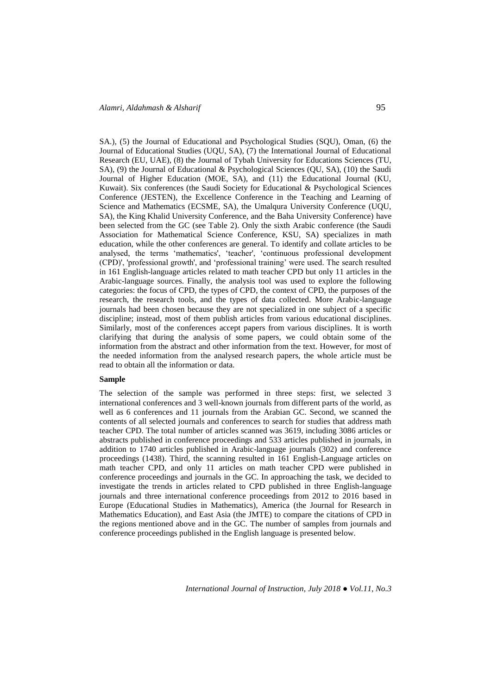SA.), (5) the Journal of Educational and Psychological Studies (SQU), Oman, (6) the Journal of Educational Studies (UQU, SA), (7) the International Journal of Educational Research (EU, UAE), (8) the Journal of Tybah University for Educations Sciences (TU, SA), (9) the Journal of Educational & Psychological Sciences (QU, SA), (10) the Saudi Journal of Higher Education (MOE, SA), and (11) the Educational Journal (KU, Kuwait). Six conferences (the Saudi Society for Educational & Psychological Sciences Conference (JESTEN), the Excellence Conference in the Teaching and Learning of Science and Mathematics (ECSME, SA), the Umalqura University Conference (UQU, SA), the King Khalid University Conference, and the Baha University Conference) have been selected from the GC (see Table 2). Only the sixth Arabic conference (the Saudi Association for Mathematical Science Conference, KSU, SA) specializes in math education, while the other conferences are general. To identify and collate articles to be analysed, the terms 'mathematics', 'teacher', 'continuous professional development (CPD)', 'professional growth', and 'professional training' were used. The search resulted in 161 English-language articles related to math teacher CPD but only 11 articles in the Arabic-language sources. Finally, the analysis tool was used to explore the following categories: the focus of CPD, the types of CPD, the context of CPD, the purposes of the research, the research tools, and the types of data collected. More Arabic-language journals had been chosen because they are not specialized in one subject of a specific discipline; instead, most of them publish articles from various educational disciplines. Similarly, most of the conferences accept papers from various disciplines. It is worth clarifying that during the analysis of some papers, we could obtain some of the information from the abstract and other information from the text. However, for most of the needed information from the analysed research papers, the whole article must be read to obtain all the information or data.

### **Sample**

The selection of the sample was performed in three steps: first, we selected 3 international conferences and 3 well-known journals from different parts of the world, as well as 6 conferences and 11 journals from the Arabian GC. Second, we scanned the contents of all selected journals and conferences to search for studies that address math teacher CPD. The total number of articles scanned was 3619, including 3086 articles or abstracts published in conference proceedings and 533 articles published in journals, in addition to 1740 articles published in Arabic-language journals (302) and conference proceedings (1438). Third, the scanning resulted in 161 English-Language articles on math teacher CPD, and only 11 articles on math teacher CPD were published in conference proceedings and journals in the GC. In approaching the task, we decided to investigate the trends in articles related to CPD published in three English-language journals and three international conference proceedings from 2012 to 2016 based in Europe (Educational Studies in Mathematics), America (the Journal for Research in Mathematics Education), and East Asia (the JMTE) to compare the citations of CPD in the regions mentioned above and in the GC. The number of samples from journals and conference proceedings published in the English language is presented below.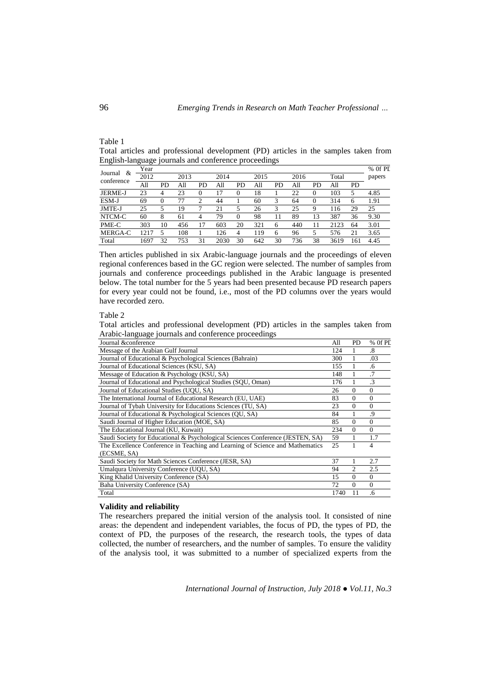Table 1

Total articles and professional development (PD) articles in the samples taken from English-language journals and conference proceedings

|                            | Year |    |      |          |      |          |     |      |     |     |       |           |        |
|----------------------------|------|----|------|----------|------|----------|-----|------|-----|-----|-------|-----------|--------|
| &<br>Journal<br>conference | 2012 |    | 2013 |          | 2014 |          |     | 2015 |     |     | Total |           | papers |
|                            | All  | PD | All  | PD       | All  | PD       | All | PD   | All | PD. | All   | <b>PD</b> |        |
| <b>JERME-J</b>             | 23   | 4  | 23   | $\Omega$ | 17   | $\theta$ | 18  |      | 22  | 0   | 103   | 5         | 4.85   |
| ESM-J                      | 69   | 0  | 77   | 2        | 44   |          | 60  | 3    | 64  | 0   | 314   | 6         | 1.91   |
| JMTE-J                     | 25   |    | 19   |          | 21   | 5        | 26  | 3    | 25  | 9   | 116   | 29        | 25     |
| NTCM-C                     | 60   | 8  | 61   | 4        | 79   | $\Omega$ | 98  | 11   | 89  | 13  | 387   | 36        | 9.30   |
| PME-C                      | 303  | 10 | 456  | 17       | 603  | 20       | 321 | 6    | 440 | 11  | 2123  | 64        | 3.01   |
| <b>MERGA-C</b>             | 1217 | 5  | 108  |          | 126  | 4        | 119 | 6    | 96  | 5   | 576   | 21        | 3.65   |
| Total                      | 1697 | 32 | 753  | 31       | 2030 | 30       | 642 | 30   | 736 | 38  | 3619  | 161       | 4.45   |

Then articles published in six Arabic-language journals and the proceedings of eleven regional conferences based in the GC region were selected. The number of samples from journals and conference proceedings published in the Arabic language is presented below. The total number for the 5 years had been presented because PD research papers for every year could not be found, i.e., most of the PD columns over the years would have recorded zero.

#### Table 2

Total articles and professional development (PD) articles in the samples taken from Arabic-language journals and conference proceedings

| Journal &conference                                                            | All  | <b>PD</b>      | % Of PL        |
|--------------------------------------------------------------------------------|------|----------------|----------------|
| Message of the Arabian Gulf Journal                                            | 124  |                | .8             |
| Journal of Educational & Psychological Sciences (Bahrain)                      | 300  |                | .03            |
| Journal of Educational Sciences (KSU, SA)                                      | 155  |                | .6             |
| Message of Education & Psychology (KSU, SA)                                    | 148  |                | .7             |
| Journal of Educational and Psychological Studies (SOU, Oman)                   | 176  |                | $\cdot$ 3      |
| Journal of Educational Studies (UOU, SA)                                       | 26   | $\Omega$       | $\Omega$       |
| The International Journal of Educational Research (EU, UAE)                    | 83   | $\Omega$       | $\Omega$       |
| Journal of Tybah University for Educations Sciences (TU, SA)                   | 23   | $\Omega$       | $\Omega$       |
| Journal of Educational & Psychological Sciences (QU, SA)                       | 84   |                | .9             |
| Saudi Journal of Higher Education (MOE, SA)                                    | 85   | $\Omega$       | $\Omega$       |
| The Educational Journal (KU, Kuwait)                                           | 234  | $\Omega$       | $\Omega$       |
| Saudi Society for Educational & Psychological Sciences Conference (JESTEN, SA) | 59   |                | 1.7            |
| The Excellence Conference in Teaching and Learning of Science and Mathematics  | 25   |                | $\overline{4}$ |
| (ECSME, SA)                                                                    |      |                |                |
| Saudi Society for Math Sciences Conference (JESR, SA)                          | 37   |                | 2.7            |
| Umalqura University Conference (UQU, SA)                                       | 94   | $\overline{c}$ | 2.5            |
| King Khalid University Conference (SA)                                         | 15   | $\Omega$       | $\Omega$       |
| Baha University Conference (SA)                                                | 72   | 0              | $\Omega$       |
| Total                                                                          | 1740 | 11             | .6             |

#### **Validity and reliability**

The researchers prepared the initial version of the analysis tool. It consisted of nine areas: the dependent and independent variables, the focus of PD, the types of PD, the context of PD, the purposes of the research, the research tools, the types of data collected, the number of researchers, and the number of samples. To ensure the validity of the analysis tool, it was submitted to a number of specialized experts from the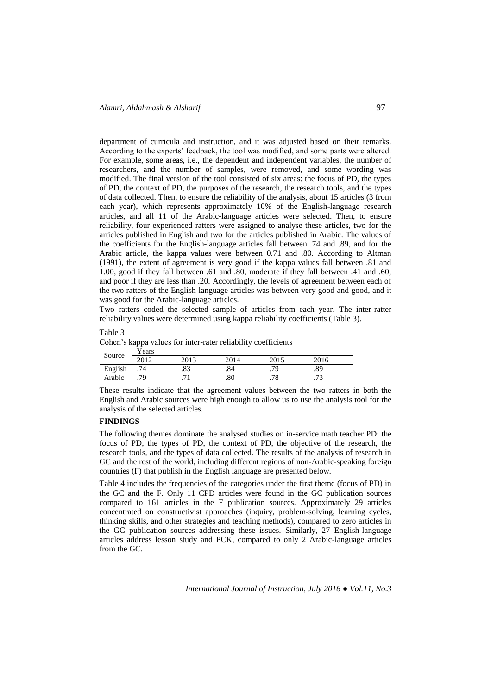department of curricula and instruction, and it was adjusted based on their remarks. According to the experts' feedback, the tool was modified, and some parts were altered. For example, some areas, i.e., the dependent and independent variables, the number of researchers, and the number of samples, were removed, and some wording was modified. The final version of the tool consisted of six areas: the focus of PD, the types of PD, the context of PD, the purposes of the research, the research tools, and the types of data collected. Then, to ensure the reliability of the analysis, about 15 articles (3 from each year), which represents approximately 10% of the English-language research articles, and all 11 of the Arabic-language articles were selected. Then, to ensure reliability, four experienced ratters were assigned to analyse these articles, two for the articles published in English and two for the articles published in Arabic. The values of the coefficients for the English-language articles fall between .74 and .89, and for the Arabic article, the kappa values were between 0.71 and .80. According to Altman (1991), the extent of agreement is very good if the kappa values fall between .81 and 1.00, good if they fall between .61 and .80, moderate if they fall between .41 and .60, and poor if they are less than .20. Accordingly, the levels of agreement between each of the two ratters of the English-language articles was between very good and good, and it was good for the Arabic-language articles.

Two ratters coded the selected sample of articles from each year. The inter-ratter reliability values were determined using kappa reliability coefficients (Table 3).

|--|--|

Cohen's kappa values for inter-rater reliability coefficients

| Source  | Years |           |      |       |         |  |  |  |  |  |  |  |  |
|---------|-------|-----------|------|-------|---------|--|--|--|--|--|--|--|--|
|         | 2012  | 2013      | 2014 | 2015  | 2016    |  |  |  |  |  |  |  |  |
| English |       | o2<br>ده. | .84  |       | .89     |  |  |  |  |  |  |  |  |
| Arabic  | 70    | . .       | .80  | . . 0 | 70<br>. |  |  |  |  |  |  |  |  |

These results indicate that the agreement values between the two ratters in both the English and Arabic sources were high enough to allow us to use the analysis tool for the analysis of the selected articles.

# **FINDINGS**

The following themes dominate the analysed studies on in-service math teacher PD: the focus of PD, the types of PD, the context of PD, the objective of the research, the research tools, and the types of data collected. The results of the analysis of research in GC and the rest of the world, including different regions of non-Arabic-speaking foreign countries (F) that publish in the English language are presented below.

Table 4 includes the frequencies of the categories under the first theme (focus of PD) in the GC and the F. Only 11 CPD articles were found in the GC publication sources compared to 161 articles in the F publication sources. Approximately 29 articles concentrated on constructivist approaches (inquiry, problem-solving, learning cycles, thinking skills, and other strategies and teaching methods), compared to zero articles in the GC publication sources addressing these issues. Similarly, 27 English-language articles address lesson study and PCK, compared to only 2 Arabic-language articles from the GC.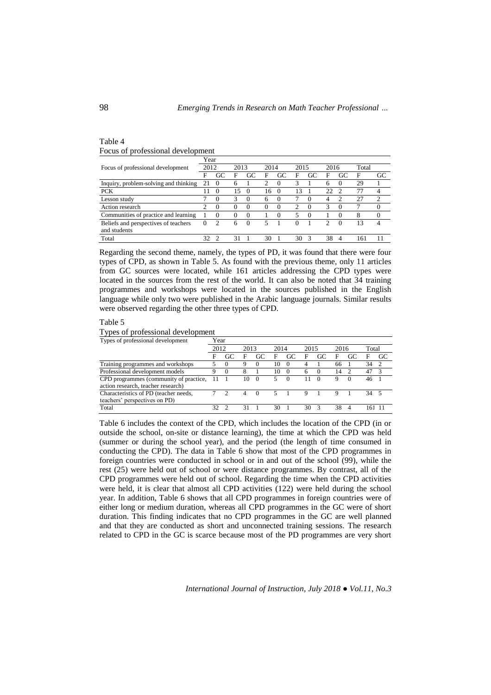| Table 4                           |  |
|-----------------------------------|--|
| Focus of professional development |  |
| Vear                              |  |

|                                       | Year     |               |          |          |          |          |    |          |    |            |       |    |
|---------------------------------------|----------|---------------|----------|----------|----------|----------|----|----------|----|------------|-------|----|
| Focus of professional development     |          | 2012          |          | 2013     |          | 2014     |    | 2015     |    | 2016       | Total |    |
|                                       | F        | GC            | F        | GC       | F        | GC       | F  | GC.      | F  | GC         | F     | GC |
| Inquiry, problem-solving and thinking | 21       | $\Omega$      | 6        |          |          | $\Omega$ | 3  |          | 6  |            | 29    |    |
| <b>PCK</b>                            |          | $\theta$      | 15       | $\theta$ | 16       | $\theta$ | 13 |          | 22 |            |       |    |
| Lesson study                          |          | 0             | 3        | $\Omega$ | h        | $\Omega$ |    | $^{(1)}$ | 4  | ာ          | 27    | ↑  |
| Action research                       |          | $\Omega$      | 0        | $\Omega$ | $\Omega$ | $\Omega$ | 2  | $\Omega$ | 3  | $\Omega$   |       | 0  |
| Communities of practice and learning  |          | $\Omega$      | $^{(1)}$ | $\Omega$ |          | $\Omega$ | 5  | $^{(1)}$ |    | $^{\circ}$ | 8     | 0  |
| Beliefs and perspectives of teachers  | $^{(1)}$ | 2             | 6        | $\theta$ |          |          |    |          | ↑  | $\Omega$   | 13    | 4  |
| and students                          |          |               |          |          |          |          |    |          |    |            |       |    |
| Total                                 | 32       | $\mathcal{L}$ | 31       |          | 30       |          | 30 |          | 38 | 4          | 161   | 11 |

Regarding the second theme, namely, the types of PD, it was found that there were four types of CPD, as shown in Table 5. As found with the previous theme, only 11 articles from GC sources were located, while 161 articles addressing the CPD types were located in the sources from the rest of the world. It can also be noted that 34 training programmes and workshops were located in the sources published in the English language while only two were published in the Arabic language journals. Similar results were observed regarding the other three types of CPD.

## Table 5

Types of professional development

| Types of professional development                                            |    | Year     |    |          |    |          |     |          |    |          |    |       |  |
|------------------------------------------------------------------------------|----|----------|----|----------|----|----------|-----|----------|----|----------|----|-------|--|
|                                                                              |    | 2012     |    | 2013     |    | 2014     |     | 2015     |    | 2016     |    | Total |  |
|                                                                              | F  | GC       | F  | GC.      | F  | GC       | F   | GC       | F  | GC       | F  | GC.   |  |
| Training programmes and workshops                                            |    | $\Omega$ | 9  | $\theta$ | 10 | $\theta$ | 4   |          | 66 |          | 34 | -2    |  |
| Professional development models                                              |    | $\theta$ | 8  |          | 10 | $\Omega$ | 6   | $\theta$ | 14 |          | 47 | -3    |  |
| CPD programmes (community of practice,<br>action research, teacher research) |    |          | 10 | $\Omega$ |    | $\Omega$ |     | $\Omega$ | 9  | $\Omega$ | 46 |       |  |
| Characteristics of PD (teacher needs,<br>teachers' perspectives on PD)       |    |          |    | $\Omega$ |    |          |     |          |    |          | 34 |       |  |
| Total                                                                        | 32 |          |    |          | 30 |          | 30. |          | 38 |          |    |       |  |

Table 6 includes the context of the CPD, which includes the location of the CPD (in or outside the school, on-site or distance learning), the time at which the CPD was held (summer or during the school year), and the period (the length of time consumed in conducting the CPD). The data in Table 6 show that most of the CPD programmes in foreign countries were conducted in school or in and out of the school (99), while the rest (25) were held out of school or were distance programmes. By contrast, all of the CPD programmes were held out of school. Regarding the time when the CPD activities were held, it is clear that almost all CPD activities (122) were held during the school year. In addition, Table 6 shows that all CPD programmes in foreign countries were of either long or medium duration, whereas all CPD programmes in the GC were of short duration. This finding indicates that no CPD programmes in the GC are well planned and that they are conducted as short and unconnected training sessions. The research related to CPD in the GC is scarce because most of the PD programmes are very short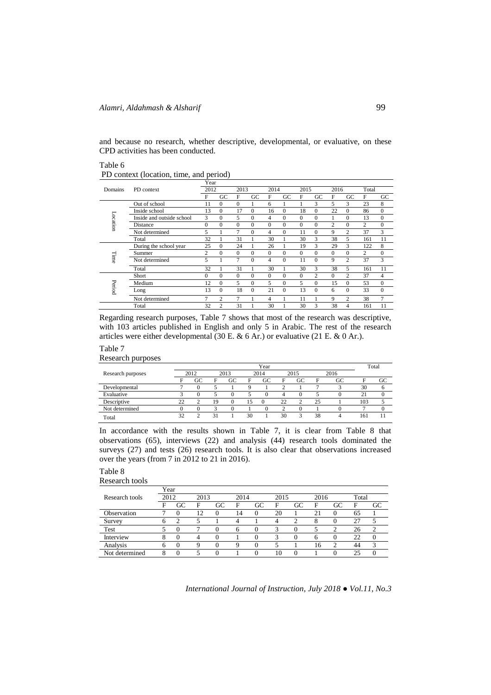and because no research, whether descriptive, developmental, or evaluative, on these CPD activities has been conducted.

# Table 6

PD context (location, time, and period)

|                           |                           | Year           |                |            |          |          |              |          |                |                |                  |                |                  |
|---------------------------|---------------------------|----------------|----------------|------------|----------|----------|--------------|----------|----------------|----------------|------------------|----------------|------------------|
| Domains                   | PD context                | 2012           |                |            | 2013     |          | 2014         | 2015     |                | 2016           |                  | Total          |                  |
| ocation<br>Time<br>Period |                           | F              | GC             | $_{\rm F}$ | GC       | F        | GC           | F        | GC             | F              | GC               | F              | GC               |
|                           | Out of school             | 11             | $\Omega$       | $\Omega$   |          | 6        |              |          | 3              | 5              | 3                | 23             | 8                |
|                           | Inside school             | 13             | $\Omega$       | 17         | $\Omega$ | 16       | $\mathbf{0}$ | 18       | $\mathbf{0}$   | 22             | $\Omega$         | 86             | $\mathbf{0}$     |
|                           | Inside and outside school | 3              | $\Omega$       | 5          | $\Omega$ | 4        | $\Omega$     | $\Omega$ | $\Omega$       |                | $\Omega$         | 13             | $\mathbf{0}$     |
|                           | Distance                  | $\Omega$       | $\Omega$       | $\Omega$   | $\Omega$ | $\Omega$ | $\Omega$     | $\Omega$ | $\Omega$       | $\overline{c}$ | $\boldsymbol{0}$ | $\overline{c}$ | $\boldsymbol{0}$ |
|                           | Not determined            | 5              |                | 7          | $\Omega$ | 4        | $\Omega$     | 11       | $\Omega$       | 9              | $\overline{c}$   | 37             | 3                |
|                           | Total                     | 32             |                | 31         |          | 30       |              | 30       | 3              | 38             | 5                | 161            | 11               |
|                           | During the school year    | 25             | $\Omega$       | 24         |          | 26       |              | 19       | 3              | 29             | 3                | 122            | 8                |
|                           | Summer                    | $\overline{2}$ | $\theta$       | $\Omega$   | $\Omega$ | $\Omega$ | $\Omega$     | $\Omega$ | $\Omega$       | $\Omega$       | $\Omega$         | 2              | $\mathbf{0}$     |
|                           | Not determined            | 5              |                | 7          | $\Omega$ | 4        | $\Omega$     | 11       | $\Omega$       | 9              | $\overline{c}$   | 37             | 3                |
|                           | Total                     | 32             |                | 31         |          | 30       | 1            | 30       | 3              | 38             | 5                | 161            | 11               |
|                           | Short                     | $\Omega$       | $\theta$       | $\Omega$   | $\theta$ | $\Omega$ | $\Omega$     | $\Omega$ | $\overline{c}$ | $\Omega$       | $\overline{c}$   | 37             | 4                |
|                           | Medium                    | 12             | $\Omega$       | 5          | $\Omega$ | 5        | $\Omega$     | 5        | $\Omega$       | 15             | $\Omega$         | 53             | $\mathbf{0}$     |
|                           | Long                      | 13             | $\Omega$       | 18         | $\theta$ | 21       | $\theta$     | 13       | $\theta$       | 6              | $\theta$         | 33             | $\mathbf{0}$     |
|                           | Not determined            | $\overline{7}$ | $\overline{2}$ | 7          |          | 4        |              | 11       |                | 9              | 2                | 38             | $\tau$           |
|                           | Total                     | 32             | $\mathfrak{2}$ | 31         |          | 30       |              | 30       | 3              | 38             | 4                | 161            | 11               |

Regarding research purposes, Table 7 shows that most of the research was descriptive, with 103 articles published in English and only 5 in Arabic. The rest of the research articles were either developmental (30 E. & 6 Ar.) or evaluative (21 E. & 0 Ar.).

## Table 7

Research purposes

|                   | Year |    |      |    |      |    |      |    |    |      |     | Total |  |
|-------------------|------|----|------|----|------|----|------|----|----|------|-----|-------|--|
| Research purposes | 2012 |    | 2013 |    | 2014 |    | 2015 |    |    | 2016 |     |       |  |
|                   |      | GC | F    | GС | F    | GC | п    | GC | Е  | GC   |     | GС    |  |
| Developmental     |      |    |      |    |      |    |      |    |    |      | 30  |       |  |
| Evaluative        |      |    |      |    |      |    |      |    |    |      |     |       |  |
| Descriptive       | つつ   |    | 19   |    | 15   |    | 22   |    | 25 |      | 103 |       |  |
| Not determined    |      |    |      |    |      |    |      |    |    |      |     |       |  |
| Total             | 32   |    | 31   |    | 30   |    | 30   |    | 38 |      | 161 |       |  |

In accordance with the results shown in Table 7, it is clear from Table 8 that observations (65), interviews (22) and analysis (44) research tools dominated the surveys (27) and tests (26) research tools. It is also clear that observations increased over the years (from 7 in 2012 to 21 in 2016).

## Table 8

Research tools

|                | Year |    |      |          |      |    |    |      |    |      |    |       |  |
|----------------|------|----|------|----------|------|----|----|------|----|------|----|-------|--|
| Research tools | 2012 |    | 2013 |          | 2014 |    |    | 2015 |    | 2016 |    | Total |  |
|                | F    | GC | F    | GC       | F    | GC | F  | GC   | F  | GC   | F  | GС    |  |
| Observation    |      |    | 12   | $\left($ | 14   |    | 20 |      | 21 |      | 65 |       |  |
| Survey         |      |    |      |          |      |    |    |      | 8  |      | 27 |       |  |
| Test           |      |    |      | O        | h    |    |    |      |    |      | 26 |       |  |
| Interview      |      |    | 4    | $\left($ |      |    | 3  | O    | o  |      | 22 |       |  |
| Analysis       |      | O  |      | $\left($ | ω    |    |    |      | 16 |      | 44 |       |  |
| Not determined |      |    |      |          |      |    | 10 |      |    |      | 25 |       |  |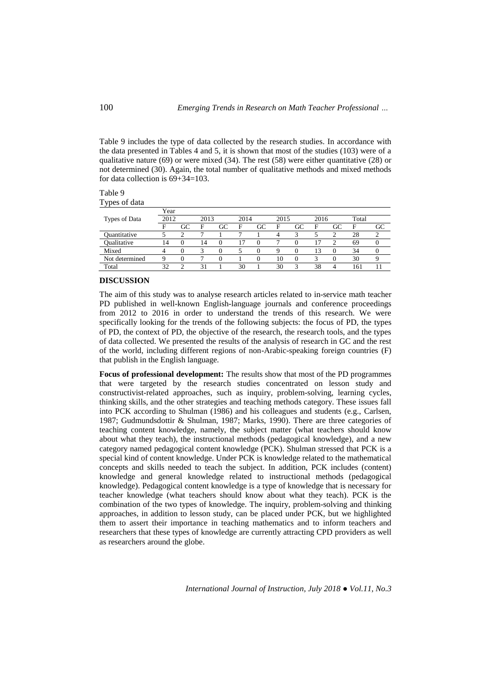Table 9 includes the type of data collected by the research studies. In accordance with the data presented in Tables 4 and 5, it is shown that most of the studies (103) were of a qualitative nature  $(69)$  or were mixed  $(34)$ . The rest  $(58)$  were either quantitative  $(28)$  or not determined (30). Again, the total number of qualitative methods and mixed methods for data collection is 69+34=103.

Table 9 Types of data

|                | Year |    |      |    |      |    |      |    |      |    |       |    |
|----------------|------|----|------|----|------|----|------|----|------|----|-------|----|
| Types of Data  | 2012 |    | 2013 |    | 2014 |    | 2015 |    | 2016 |    | Total |    |
|                | F    | GC | F    | GC | F    | GC | F    | GC | F    | GC | F     | GC |
| Ouantitative   |      |    |      |    |      |    |      |    |      |    | 28    |    |
| Oualitative    | 14   |    | 14   |    |      |    |      |    |      |    | 69    |    |
| Mixed          | 4    |    |      |    |      |    |      |    | 13   |    | 34    |    |
| Not determined |      |    |      |    |      |    | 10   |    |      |    | 30    |    |
| Total          | 32   |    | 31   |    | 30   |    | 30   | ◠  | 38   |    | 161   |    |
|                |      |    |      |    |      |    |      |    |      |    |       |    |

### **DISCUSSION**

The aim of this study was to analyse research articles related to in-service math teacher PD published in well-known English-language journals and conference proceedings from 2012 to 2016 in order to understand the trends of this research. We were specifically looking for the trends of the following subjects: the focus of PD, the types of PD, the context of PD, the objective of the research, the research tools, and the types of data collected. We presented the results of the analysis of research in GC and the rest of the world, including different regions of non-Arabic-speaking foreign countries (F) that publish in the English language.

**Focus of professional development:** The results show that most of the PD programmes that were targeted by the research studies concentrated on lesson study and constructivist-related approaches, such as inquiry, problem-solving, learning cycles, thinking skills, and the other strategies and teaching methods category. These issues fall into PCK according to Shulman (1986) and his colleagues and students (e.g., Carlsen, 1987; Gudmundsdottir & Shulman, 1987; Marks, 1990). There are three categories of teaching content knowledge, namely, the subject matter (what teachers should know about what they teach), the instructional methods (pedagogical knowledge), and a new category named pedagogical content knowledge (PCK). Shulman stressed that PCK is a special kind of content knowledge. Under PCK is knowledge related to the mathematical concepts and skills needed to teach the subject. In addition, PCK includes (content) knowledge and general knowledge related to instructional methods (pedagogical knowledge). Pedagogical content knowledge is a type of knowledge that is necessary for teacher knowledge (what teachers should know about what they teach). PCK is the combination of the two types of knowledge. The inquiry, problem-solving and thinking approaches, in addition to lesson study, can be placed under PCK, but we highlighted them to assert their importance in teaching mathematics and to inform teachers and researchers that these types of knowledge are currently attracting CPD providers as well as researchers around the globe.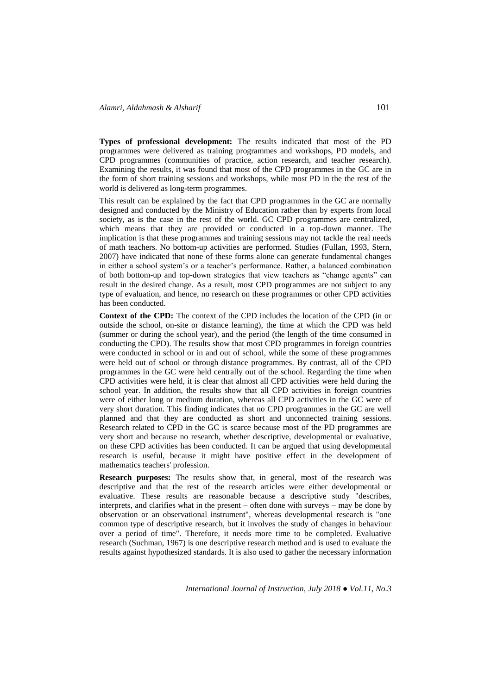**Types of professional development:** The results indicated that most of the PD programmes were delivered as training programmes and workshops, PD models, and CPD programmes (communities of practice, action research, and teacher research). Examining the results, it was found that most of the CPD programmes in the GC are in the form of short training sessions and workshops, while most PD in the the rest of the world is delivered as long-term programmes.

This result can be explained by the fact that CPD programmes in the GC are normally designed and conducted by the Ministry of Education rather than by experts from local society, as is the case in the rest of the world. GC CPD programmes are centralized, which means that they are provided or conducted in a top-down manner. The implication is that these programmes and training sessions may not tackle the real needs of math teachers. No bottom-up activities are performed. Studies (Fullan, 1993, Stern, 2007) have indicated that none of these forms alone can generate fundamental changes in either a school system's or a teacher's performance. Rather, a balanced combination of both bottom-up and top-down strategies that view teachers as "change agents" can result in the desired change. As a result, most CPD programmes are not subject to any type of evaluation, and hence, no research on these programmes or other CPD activities has been conducted.

**Context of the CPD:** The context of the CPD includes the location of the CPD (in or outside the school, on-site or distance learning), the time at which the CPD was held (summer or during the school year), and the period (the length of the time consumed in conducting the CPD). The results show that most CPD programmes in foreign countries were conducted in school or in and out of school, while the some of these programmes were held out of school or through distance programmes. By contrast, all of the CPD programmes in the GC were held centrally out of the school. Regarding the time when CPD activities were held, it is clear that almost all CPD activities were held during the school year. In addition, the results show that all CPD activities in foreign countries were of either long or medium duration, whereas all CPD activities in the GC were of very short duration. This finding indicates that no CPD programmes in the GC are well planned and that they are conducted as short and unconnected training sessions. Research related to CPD in the GC is scarce because most of the PD programmes are very short and because no research, whether descriptive, developmental or evaluative, on these CPD activities has been conducted. It can be argued that using developmental research is useful, because it might have positive effect in the development of mathematics teachers' profession.

**Research purposes:** The results show that, in general, most of the research was descriptive and that the rest of the research articles were either developmental or evaluative. These results are reasonable because a descriptive study "describes, interprets, and clarifies what in the present – often done with surveys – may be done by observation or an observational instrument", whereas developmental research is "one common type of descriptive research, but it involves the study of changes in behaviour over a period of time". Therefore, it needs more time to be completed. Evaluative research (Suchman, 1967) is one descriptive research method and is used to evaluate the results against hypothesized standards. It is also used to gather the necessary information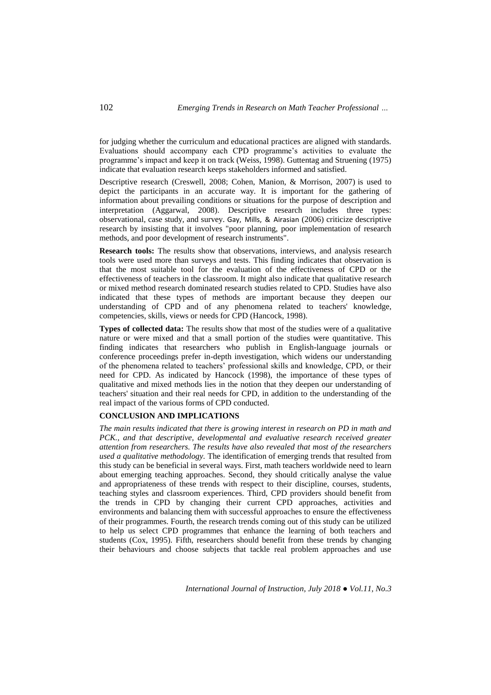for judging whether the curriculum and educational practices are aligned with standards. Evaluations should accompany each CPD programme's activities to evaluate the programme's impact and keep it on track (Weiss, 1998). Guttentag and Struening (1975) indicate that evaluation research keeps stakeholders informed and satisfied.

Descriptive research (Creswell, 2008; Cohen, Manion, & Morrison, 2007) is used to depict the participants in an accurate way. It is important for the gathering of information about prevailing conditions or situations for the purpose of description and interpretation (Aggarwal, 2008). Descriptive research includes three types: observational, case study, and survey. Gay, Mills, & Airasian (2006) criticize descriptive research by insisting that it involves "poor planning, poor implementation of research methods, and poor development of research instruments".

**Research tools:** The results show that observations, interviews, and analysis research tools were used more than surveys and tests. This finding indicates that observation is that the most suitable tool for the evaluation of the effectiveness of CPD or the effectiveness of teachers in the classroom. It might also indicate that qualitative research or mixed method research dominated research studies related to CPD. Studies have also indicated that these types of methods are important because they deepen our understanding of CPD and of any phenomena related to teachers' knowledge, competencies, skills, views or needs for CPD (Hancock, 1998).

**Types of collected data:** The results show that most of the studies were of a qualitative nature or were mixed and that a small portion of the studies were quantitative. This finding indicates that researchers who publish in English-language journals or conference proceedings prefer in-depth investigation, which widens our understanding of the phenomena related to teachers' professional skills and knowledge, CPD, or their need for CPD. As indicated by Hancock (1998), the importance of these types of qualitative and mixed methods lies in the notion that they deepen our understanding of teachers' situation and their real needs for CPD, in addition to the understanding of the real impact of the various forms of CPD conducted.

# **CONCLUSION AND IMPLICATIONS**

*The main results indicated that there is growing interest in research on PD in math and PCK., and that descriptive, developmental and evaluative research received greater attention from researchers. The results have also revealed that most of the researchers used a qualitative methodology.* The identification of emerging trends that resulted from this study can be beneficial in several ways. First, math teachers worldwide need to learn about emerging teaching approaches. Second, they should critically analyse the value and appropriateness of these trends with respect to their discipline, courses, students, teaching styles and classroom experiences. Third, CPD providers should benefit from the trends in CPD by changing their current CPD approaches, activities and environments and balancing them with successful approaches to ensure the effectiveness of their programmes. Fourth, the research trends coming out of this study can be utilized to help us select CPD programmes that enhance the learning of both teachers and students (Cox, 1995). Fifth, researchers should benefit from these trends by changing their behaviours and choose subjects that tackle real problem approaches and use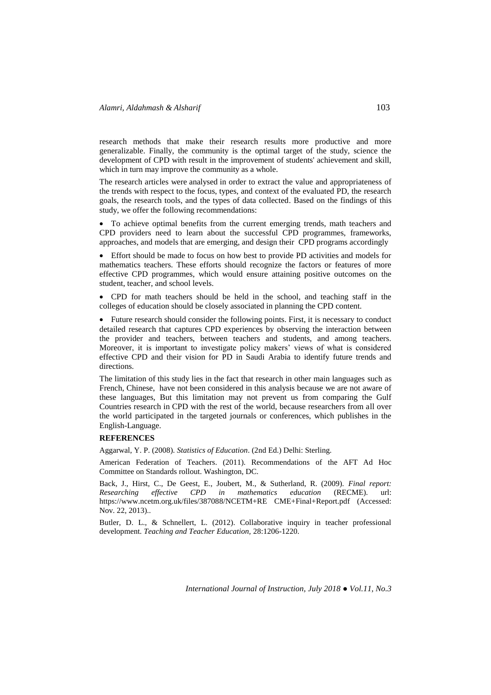research methods that make their research results more productive and more generalizable. Finally, the community is the optimal target of the study, science the development of CPD with result in the improvement of students' achievement and skill, which in turn may improve the community as a whole.

The research articles were analysed in order to extract the value and appropriateness of the trends with respect to the focus, types, and context of the evaluated PD, the research goals, the research tools, and the types of data collected. Based on the findings of this study, we offer the following recommendations:

 To achieve optimal benefits from the current emerging trends, math teachers and CPD providers need to learn about the successful CPD programmes, frameworks, approaches, and models that are emerging, and design their CPD programs accordingly

 Effort should be made to focus on how best to provide PD activities and models for mathematics teachers. These efforts should recognize the factors or features of more effective CPD programmes, which would ensure attaining positive outcomes on the student, teacher, and school levels.

 CPD for math teachers should be held in the school, and teaching staff in the colleges of education should be closely associated in planning the CPD content.

• Future research should consider the following points. First, it is necessary to conduct detailed research that captures CPD experiences by observing the interaction between the provider and teachers, between teachers and students, and among teachers. Moreover, it is important to investigate policy makers' views of what is considered effective CPD and their vision for PD in Saudi Arabia to identify future trends and directions.

The limitation of this study lies in the fact that research in other main languages such as French, Chinese, have not been considered in this analysis because we are not aware of these languages, But this limitation may not prevent us from comparing the Gulf Countries research in CPD with the rest of the world, because researchers from all over the world participated in the targeted journals or conferences, which publishes in the English-Language.

# **REFERENCES**

Aggarwal, Y. P. (2008). *Statistics of Education*. (2nd Ed.) Delhi: Sterling.

American Federation of Teachers. (2011). Recommendations of the AFT Ad Hoc Committee on Standards rollout. Washington, DC.

Back, J., Hirst, C., De Geest, E., Joubert, M., & Sutherland, R. (2009). *Final report: Researching effective CPD in mathematics education* (RECME). url: https://www.ncetm.org.uk/files/387088/NCETM+RE CME+Final+Report.pdf (Accessed: Nov. 22, 2013)..

Butler, D. L., & Schnellert, L. (2012). Collaborative inquiry in teacher professional development. *Teaching and Teacher Education,* 28:1206-1220.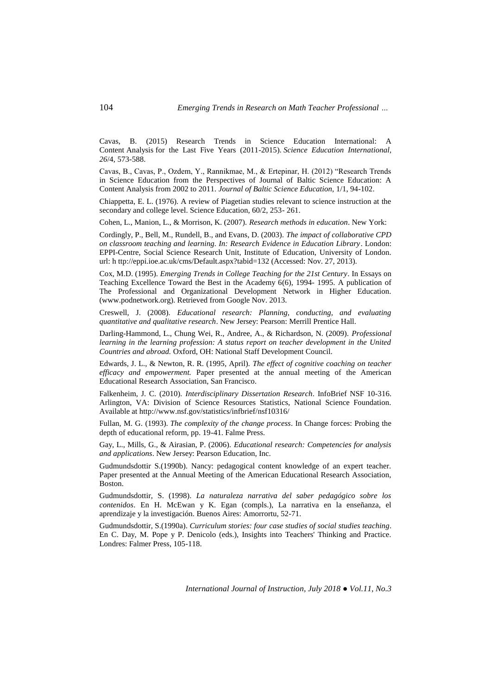[Cavas, B.](http://aggr.ukm.um.si/vufind/EDS/Search?lookfor=Cavas%2C+B%2E&type=AU) (2015) [Research Trends in Science Education International: A](http://aggr.ukm.um.si/vufind/EdsRecord/eric,EJ1086555)  Content Analysis [for the Last Five Years \(2011-2015\).](http://aggr.ukm.um.si/vufind/EdsRecord/eric,EJ1086555) *Science Education International, 26*/4, 573-588.

Cavas, B., Cavas, P., Ozdem, Y., Rannikmae, M., & Ertepinar, H. (2012) "Research Trends in Science Education from the Perspectives of Journal of Baltic Science Education: A Content Analysis from 2002 to 2011. *Journal of Baltic Science Education,* 1/1, 94-102.

Chiappetta, E. L. (1976). A review of Piagetian studies relevant to science instruction at the secondary and college level. Science Education, 60/2, 253- 261.

Cohen, L., Manion, L., & Morrison, K. (2007). *Research methods in education*. New York:

Cordingly, P., Bell, M., Rundell, B., and Evans, D. (2003). *The impact of collaborative CPD on classroom teaching and learning. In: Research Evidence in Education Library*. London: EPPI-Centre, Social Science Research Unit, Institute of Education, University of London. url: h ttp://eppi.ioe.ac.uk/cms/Default.aspx?tabid=132 (Accessed: Nov. 27, 2013).

Cox, M.D. (1995). *Emerging Trends in College Teaching for the 21st Century*. In Essays on Teaching Excellence Toward the Best in the Academy 6(6), 1994- 1995. A publication of The Professional and Organizational Development Network in Higher Education. (www.podnetwork.org). Retrieved from Google Nov. 2013.

Creswell, J. (2008). *Educational research: Planning, conducting, and evaluating quantitative and qualitative research*. New Jersey: Pearson: Merrill Prentice Hall.

Darling-Hammond, L., Chung Wei, R., Andree, A., & Richardson, N. (2009). *Professional learning in the learning profession: A status report on teacher development in the United Countries and abroad.* Oxford, OH: National Staff Development Council.

Edwards, J. L., & Newton, R. R. (1995, April). *The effect of cognitive coaching on teacher efficacy and empowerment.* Paper presented at the annual meeting of the American Educational Research Association, San Francisco.

Falkenheim, J. C. (2010). *Interdisciplinary Dissertation Research*. InfoBrief NSF 10-316. Arlington, VA: Division of Science Resources Statistics, National Science Foundation. Available at http://www.nsf.gov/statistics/infbrief/nsf10316/

Fullan, M. G. (1993). *The complexity of the change process*. In Change forces: Probing the depth of educational reform, pp. 19-41. Falme Press.

Gay, L., Mills, G., & Airasian, P. (2006). *Educational research: Competencies for analysis and applications*. New Jersey: Pearson Education, Inc.

Gudmundsdottir S.(1990b). Nancy: pedagogical content knowledge of an expert teacher. Paper presented at the Annual Meeting of the American Educational Research Association, Boston.

Gudmundsdottir, S. (1998). *La naturaleza narrativa del saber pedagógico sobre los contenidos*. En H. McEwan y K. Egan (compls.), La narrativa en la enseñanza, el aprendizaje y la investigación. Buenos Aires: Amorrortu, 52-71.

Gudmundsdottir, S.(1990a). *Curriculum stories: four case studies of social studies teaching*. En C. Day, M. Pope y P. Denicolo (eds.), Insights into Teachers' Thinking and Practice. Londres: Falmer Press, 105-118.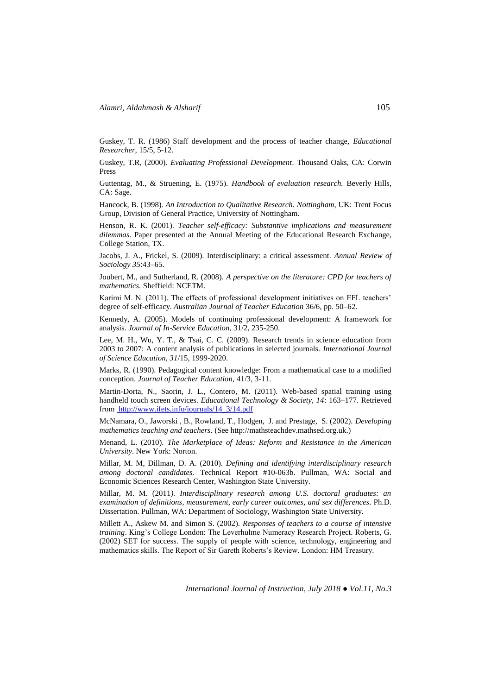Guskey, T. R. (1986) Staff development and the process of teacher change, *Educational Researcher,* 15/5, 5-12.

Guskey, T.R, (2000). *Evaluating Professional Development*. Thousand Oaks, CA: Corwin Press

Guttentag, M., & Struening, E. (1975). *Handbook of evaluation research.* Beverly Hills, CA: Sage.

Hancock, B. (1998). *An Introduction to Qualitative Research. Nottingham*, UK: Trent Focus Group, Division of General Practice, University of Nottingham.

Henson, R. K. (2001). *Teacher self-efficacy: Substantive implications and measurement dilemmas*. Paper presented at the Annual Meeting of the Educational Research Exchange, College Station, TX.

Jacobs, J. A., Frickel, S. (2009). Interdisciplinary: a critical assessment. *Annual Review of Sociology 35*:43–65.

Joubert, M., and Sutherland, R. (2008). *A perspective on the literature: CPD for teachers of mathematics.* Sheffield: NCETM.

Karimi M. N. (2011). The effects of professional development initiatives on EFL teachers' degree of self-efficacy. *Australian Journal of Teacher Education* 36/6, pp. 50–62.

Kennedy, A. (2005). Models of continuing professional development: A framework for analysis. *Journal of In-Service Education,* 31/2, 235-250.

Lee, M. H., Wu, Y. T., & Tsai, C. C. (2009). Research trends in science education from 2003 to 2007: A content analysis of publications in selected journals. *International Journal of Science Education, 31*/15, 1999-2020.

Marks, R. (1990). Pedagogical content knowledge: From a mathematical case to a modified conception. *Journal of Teacher Education,* 41/3, 3-11.

[Martin-Dorta, N., Saorin, J. L., Contero, M. \(2011\)](http://www.sciencedirect.com/science/article/pii/S0360131515300804#bib170). Web-based spatial training using handheld touch screen devices. *Educational Technology & Society, 14*: 163–177. Retrieved from [http://www.ifets.info/journals/14\\_3/14.pdf](http://www.ifets.info/journals/14_3/14.pdf)

McNamara, O., Jaworski , B., Rowland, T., Hodgen, J. and Prestage, S. (2002). *Developing mathematics teaching and teachers*. (See [http://mathsteachdev.mathsed.org.uk.](http://mathsteachdev.mathsed.org.uk/))

Menand, L. (2010). *The Marketplace of Ideas: Reform and Resistance in the American University*. New York: Norton.

Millar, M. M, Dillman, D. A. (2010). *Defining and identifying interdisciplinary research among doctoral candidates.* Technical Report #10-063b. Pullman, WA: Social and Economic Sciences Research Center, Washington State University.

Millar, M. M. (2011*). Interdisciplinary research among U.S. doctoral graduates: an examination of definitions, measurement, early career outcomes, and sex differences*. Ph.D. Dissertation. Pullman, WA: Department of Sociology, Washington State University.

Millett A., Askew M. and Simon S. (2002). *Responses of teachers to a course of intensive training*. King's College London: The Leverhulme Numeracy Research Project. Roberts, G. (2002) SET for success. The supply of people with science, technology, engineering and mathematics skills. The Report of Sir Gareth Roberts's Review. London: HM Treasury.